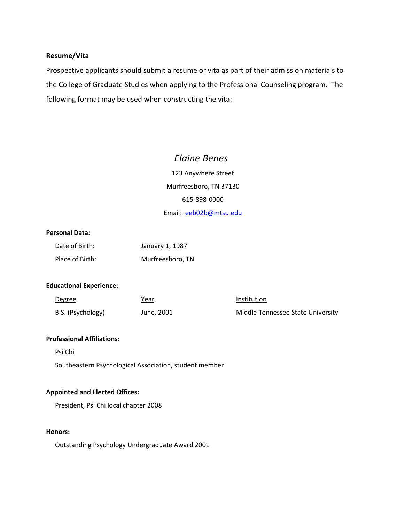# **Resume/Vita**

Prospective applicants should submit a resume or vita as part of their admission materials to the College of Graduate Studies when applying to the Professional Counseling program. The following format may be used when constructing the vita:

# *Elaine Benes*

123 Anywhere Street Murfreesboro, TN 37130 615-898-0000 Email: eeb02b@mtsu.edu

# **Personal Data:**

| Date of Birth:  | January 1, 1987  |
|-----------------|------------------|
| Place of Birth: | Murfreesboro, TN |

## **Educational Experience:**

| <u>Degree</u>     | Year<br>_______ | Institution                       |
|-------------------|-----------------|-----------------------------------|
| B.S. (Psychology) | June, 2001      | Middle Tennessee State University |

## **Professional Affiliations:**

Psi Chi

Southeastern Psychological Association, student member

## **Appointed and Elected Offices:**

President, Psi Chi local chapter 2008

## **Honors:**

Outstanding Psychology Undergraduate Award 2001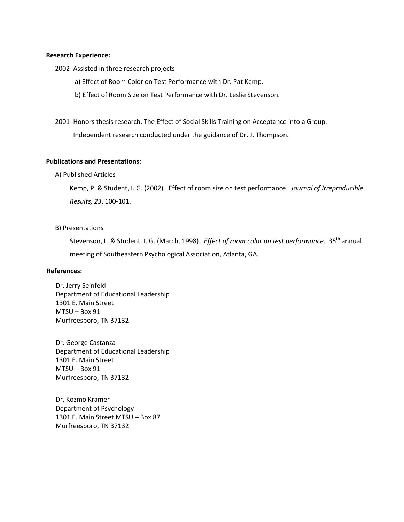#### **Research Experience:**

2002 Assisted in three research projects

- a) Effect of Room Color on Test Performance with Dr. Pat Kemp.
- b) Effect of Room Size on Test Performance with Dr. Leslie Stevenson.
- 2001 Honors thesis research, The Effect of Social Skills Training on Acceptance into a Group. Independent research conducted under the guidance of Dr. J. Thompson.

## **Publications and Presentations:**

A) Published Articles

Kemp, P. & Student, I. G. (2002). Effect of room size on test performance. *Journal of Irreproducible Results, 23*, 100-101.

#### B) Presentations

Stevenson, L. & Student, I. G. (March, 1998). *Effect of room color on test performance*. 35<sup>th</sup> annual meeting of Southeastern Psychological Association, Atlanta, GA.

#### **References:**

Dr. Jerry Seinfeld Department of Educational Leadership 1301 E. Main Street MTSU – Box 91 Murfreesboro, TN 37132

Dr. George Castanza Department of Educational Leadership 1301 E. Main Street MTSU – Box 91 Murfreesboro, TN 37132

Dr. Kozmo Kramer Department of Psychology 1301 E. Main Street MTSU – Box 87 Murfreesboro, TN 37132